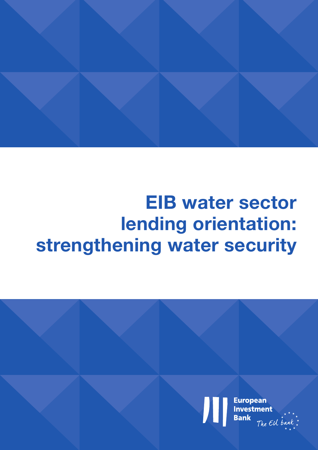

# **EIB water sector lending orientation: strengthening water security**

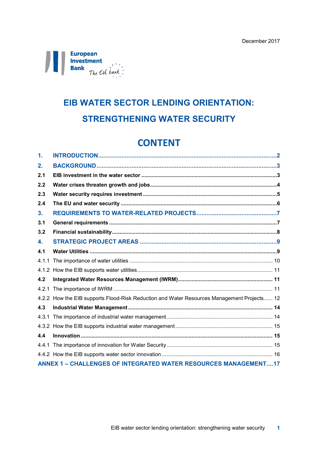

## **EIB WATER SECTOR LENDING ORIENTATION: STRENGTHENING WATER SECURITY**

## **CONTENT**

| 1.                                                              |                                                                                            |  |
|-----------------------------------------------------------------|--------------------------------------------------------------------------------------------|--|
| 2.                                                              |                                                                                            |  |
| 2.1                                                             |                                                                                            |  |
| 2.2                                                             |                                                                                            |  |
| 2.3                                                             |                                                                                            |  |
| 2.4                                                             |                                                                                            |  |
| 3.                                                              |                                                                                            |  |
| 3.1                                                             |                                                                                            |  |
| 3.2                                                             |                                                                                            |  |
| 4.                                                              |                                                                                            |  |
| 4.1                                                             |                                                                                            |  |
| 4.1.1                                                           |                                                                                            |  |
|                                                                 |                                                                                            |  |
| 4.2                                                             |                                                                                            |  |
| 4.2.1                                                           |                                                                                            |  |
|                                                                 | 4.2.2 How the EIB supports Flood-Risk Reduction and Water Resources Management Projects 12 |  |
| 4.3                                                             |                                                                                            |  |
| 4.3.1                                                           |                                                                                            |  |
|                                                                 |                                                                                            |  |
| 4.4                                                             |                                                                                            |  |
| 4.4.1                                                           |                                                                                            |  |
|                                                                 |                                                                                            |  |
| ANNEX 1 - CHALLENGES OF INTEGRATED WATER RESOURCES MANAGEMENT17 |                                                                                            |  |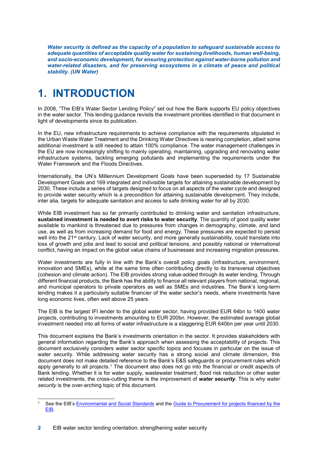*Water security is defined as the capacity of a population to safeguard sustainable access to adequate quantities of acceptable quality water for sustaining livelihoods, human well-being, and socio-economic development, for ensuring protection against water-borne pollution and water-related disasters, and for preserving ecosystems in a climate of peace and political stability. (UN Water)*

## <span id="page-3-0"></span>**1. INTRODUCTION**

In 2008, "The EIB's Water Sector Lending Policy" set out how the Bank supports EU policy objectives in the water sector. This lending guidance revisits the investment priorities identified in that document in light of developments since its publication.

In the EU, new infrastructure requirements to achieve compliance with the requirements stipulated in the Urban Waste Water Treatment and the Drinking Water Directives is nearing completion, albeit some additional investment is still needed to attain 100% compliance. The water management challenges in the EU are now increasingly shifting to mainly operating, maintaining, upgrading and renovating water infrastructure systems, tackling emerging pollutants and implementing the requirements under the Water Framework and the Floods Directives.

Internationally, the UN's Millennium Development Goals have been superseded by 17 Sustainable Development Goals and 169 integrated and indivisible targets for attaining sustainable development by 2030. These include a series of targets designed to focus on all aspects of the water cycle and designed to provide water security which is a precondition for attaining sustainable development. They include, inter alia, targets for adequate sanitation and access to safe drinking water for all by 2030.

While EIB investment has so far primarily contributed to drinking water and sanitation infrastructure, **sustained investment is needed to avert risks to water security**. The quantity of good quality water available to mankind is threatened due to pressures from changes in demography, climate, and land use, as well as from increasing demand for food and energy. These pressures are expected to persist well into the 21<sup>st</sup> century. Lack of water security, and more generally sustainability, could translate into loss of growth and jobs and lead to social and political tensions, and possibly national or international conflict, having an impact on the global value chains of businesses and increasing migration pressures.

Water investments are fully in line with the Bank's overall policy goals (infrastructure, environment, innovation and SMEs), while at the same time often contributing directly to its transversal objectives (cohesion and climate action). The EIB provides strong value-added through its water lending. Through different financial products, the Bank has the ability to finance all relevant players from national, regional, and municipal operators to private operators as well as SMEs and industries. The Bank's long-term lending makes it a particularly suitable financier of the water sector's needs, where investments have long economic lives, often well above 25 years.

The EIB is the largest IFI lender to the global water sector, having provided EUR 64bn to 1400 water projects, contributing to investments amounting to EUR 200bn. However, the estimated average global investment needed into all forms of water infrastructure is a staggering EUR 640bn per year until 2030.

This document explains the Bank's investments orientation in the sector. It provides stakeholders with general information regarding the Bank's approach when assessing the acceptability of projects. This document exclusively considers water sector specific topics and focuses in particular on the issue of water security. While addressing water security has a strong social and climate dimension, this document does not make detailed reference to the Bank's E&S safeguards or procurement rules which apply generally to all projects.<sup>[1](#page-3-1)</sup> The document also does not go into the financial or credit aspects of Bank lending. Whether it is for water supply, wastewater treatment, flood risk reduction or other water related investments, the cross-cutting theme is the improvement of *water security*. This is why *water security* is the over-arching topic of this document.

<span id="page-3-1"></span><sup>&</sup>lt;sup>1</sup> See the EIB'[s Environmental and Social Standards](https://www.eib.org/en/publications/environmental-and-social-standards) and the Guide to Procurement for projects financed by the [EIB.](https://www.eib.org/en/publications/guide-to-procurement)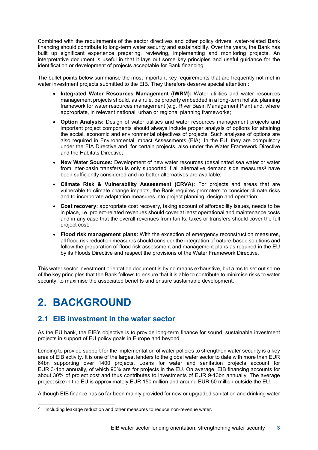Combined with the requirements of the sector directives and other policy drivers, water-related Bank financing should contribute to long-term water security and sustainability. Over the years, the Bank has built up significant experience preparing, reviewing, implementing and monitoring projects. An interpretative document is useful in that it lays out some key principles and useful guidance for the identification or development of projects acceptable for Bank financing.

The bullet points below summarise the most important key requirements that are frequently not met in water investment projects submitted to the EIB. They therefore deserve special attention :

- **Integrated Water Resources Management (IWRM):** Water utilities and water resources management projects should, as a rule, be properly embedded in a long-term holistic planning framework for water resources management (e.g. River Basin Management Plan) and, where appropriate, in relevant national, urban or regional planning frameworks;
- **Option Analysis:** Design of water utilities and water resources management projects and important project components should always include proper analysis of options for attaining the social, economic and environmental objectives of projects. Such analyses of options are also required in Environmental Impact Assessments (EIA). In the EU, they are compulsory under the EIA Directive and, for certain projects, also under the Water Framework Directive and the Habitats Directive;
- **New Water Sources:** Development of new water resources (desalinated sea water or water from inter-basin transfers) is only supported if all alternative demand side measures<sup>[2](#page-4-2)</sup> have been sufficiently considered and no better alternatives are available;
- **Climate Risk & Vulnerability Assessment (CRVA):** For projects and areas that are vulnerable to climate change impacts, the Bank requires promoters to consider climate risks and to incorporate adaptation measures into project planning, design and operation;
- **Cost recovery:** appropriate cost recovery, taking account of affordability issues, needs to be in place, i.e. project-related revenues should cover at least operational and maintenance costs and in any case that the overall revenues from tariffs, taxes or transfers should cover the full project cost;
- **Flood risk management plans:** With the exception of emergency reconstruction measures, all flood risk reduction measures should consider the integration of nature-based solutions and follow the preparation of flood risk assessment and management plans as required in the EU by its Floods Directive and respect the provisions of the Water Framework Directive.

This water sector investment orientation document is by no means exhaustive, but aims to set out some of the key principles that the Bank follows to ensure that it is able to contribute to minimise risks to water security, to maximise the associated benefits and ensure sustainable development.

## <span id="page-4-0"></span>**2. BACKGROUND**

## <span id="page-4-1"></span>**2.1 EIB investment in the water sector**

As the EU bank, the EIB's objective is to provide long-term finance for sound, sustainable investment projects in support of EU policy goals in Europe and beyond.

Lending to provide support for the implementation of water policies to strengthen water security is a key area of EIB activity. It is one of the largest lenders to the global water sector to date with more than EUR 64bn supporting over 1400 projects. Loans for water and sanitation projects account for EUR 3-4bn annually, of which 90% are for projects in the EU. On average, EIB financing accounts for about 30% of project cost and thus contributes to investments of EUR 9-13bn annually. The average project size in the EU is approximately EUR 150 million and around EUR 50 million outside the EU.

Although EIB finance has so far been mainly provided for new or upgraded sanitation and drinking water

<span id="page-4-2"></span><sup>&</sup>lt;sup>2</sup> Including leakage reduction and other measures to reduce non-revenue water.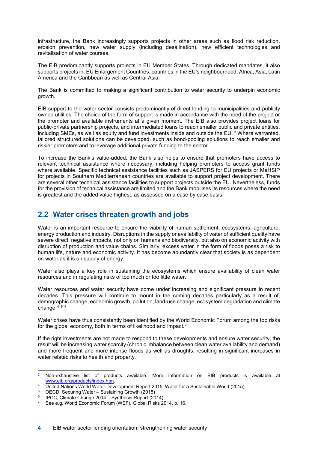infrastructure, the Bank increasingly supports projects in other areas such as flood risk reduction, erosion prevention, new water supply (including desalination), new efficient technologies and revitalisation of water courses.

The EIB predominantly supports projects in EU Member States. Through dedicated mandates, it also supports projects in: EU Enlargement Countries, countries in the EU's neighbourhood, Africa, Asia, Latin America and the Caribbean as well as Central Asia.

The Bank is committed to making a significant contribution to water security to underpin economic growth.

EIB support to the water sector consists predominantly of direct lending to municipalities and publicly owned utilities. The choice of the form of support is made in accordance with the need of the project or the promoter and available instruments at a given moment. The EIB also provides project loans for public-private partnership projects, and intermediated loans to reach smaller public and private entities, including SMEs, as well as equity and fund investments inside and outside the EU. [3](#page-5-1) Where warranted, tailored structured solutions can be developed, such as bond-pooling solutions to reach smaller and riskier promoters and to leverage additional private funding to the sector.

To increase the Bank's value-added, the Bank also helps to ensure that promoters have access to relevant technical assistance where necessary, including helping promoters to access grant funds where available. Specific technical assistance facilities such as JASPERS for EU projects or MeHSIP for projects in Southern Mediterranean countries are available to support project development. There are several other technical assistance facilities to support projects outside the EU. Nevertheless, funds for the provision of technical assistance are limited and the Bank mobilises its resources where the need is greatest and the added value highest, as assessed on a case by case basis.

### <span id="page-5-0"></span>**2.2 Water crises threaten growth and jobs**

Water is an important resource to ensure the viability of human settlement, ecosystems, agriculture, energy production and industry. Disruptions in the supply or availability of water of sufficient quality have severe direct, negative impacts, not only on humans and biodiversity, but also on economic activity with disruption of production and value chains. Similarly, excess water in the form of floods poses a risk to human life, nature and economic activity. It has become abundantly clear that society is as dependent on water as it is on supply of energy.

Water also plays a key role in sustaining the ecosystems which ensure availability of clean water resources and in regulating risks of too much or too little water.

Water resources and water security have come under increasing and significant pressure in recent decades. This pressure will continue to mount in the coming decades particularly as a result of, demographic change, economic growth, pollution, land-use change, ecosystem degradation and climate change. $4^{156}$  $4^{156}$  $4^{156}$  $4^{156}$  $4^{156}$ 

Water crises have thus consistently been identified by the World Economic Forum among the top risks for the global economy, both in terms of likelihood and impact.[7](#page-5-5)

If the right investments are not made to respond to these developments and ensure water security, the result will be increasing water scarcity (chronic imbalance between clean water availability and demand) and more frequent and more intense floods as well as droughts, resulting in significant increases in water related risks to health and property.

<span id="page-5-1"></span><sup>&</sup>lt;sup>3</sup> Non-exhaustive list of products available. More information on EIB products is available at [www.eib.org/products/index.htm.](http://www.eib.org/products/index.htm)

<span id="page-5-2"></span><sup>4</sup> United Nations World Water Development Report 2015, Water for a Sustainable World (2015)

<span id="page-5-3"></span><sup>5</sup> OECD, Securing Water – Sustaining Growth (2015)

<span id="page-5-4"></span><sup>&</sup>lt;sup>6</sup> IPCC, Climate Change 2014 – Synthesis Report (2014)

<span id="page-5-5"></span>See e.g. World Economic Forum (WEF), Global Risks 2014, p. 16.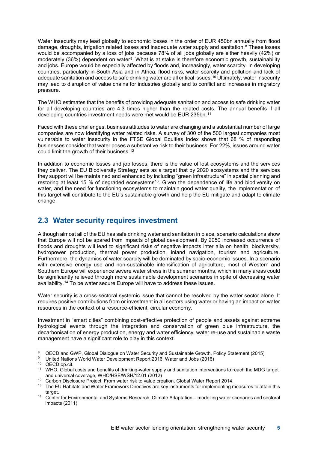Water insecurity may lead globally to economic losses in the order of EUR 450bn annually from flood damage, droughts, irrigation related losses and inadequate water supply and sanitation.<sup>[8](#page-6-1)</sup> These losses would be accompanied by a loss of jobs because 78% of all jobs globally are either heavily (42%) or moderately (36%) dependent on water<sup>9</sup>. What is at stake is therefore economic growth, sustainability and jobs. Europe would be especially affected by floods and, increasingly, water scarcity. In developing countries, particularly in South Asia and in Africa, flood risks, water scarcity and pollution and lack of adequate sanitation and access to safe drinking water are all critical issues.<sup>[10](#page-6-3)</sup> Ultimately, water insecurity may lead to disruption of value chains for industries globally and to conflict and increases in migratory pressure.

The WHO estimates that the benefits of providing adequate sanitation and access to safe drinking water for all developing countries are 4.3 times higher than the related costs. The annual benefits if all developing countries investment needs were met would be EUR 235bn.[11](#page-6-4)

Faced with these challenges, business attitudes to water are changing and a substantial number of large companies are now identifying water related risks. A survey of 300 of the 500 largest companies most vulnerable to water insecurity in the FTSE Global Equities Index shows that 68 % of responding businesses consider that water poses a substantive risk to their business. For 22%, issues around water could limit the growth of their business.<sup>[12](#page-6-5)</sup>

In addition to economic losses and job losses, there is the value of lost ecosystems and the services they deliver. The EU Biodiversity Strategy sets as a target that by 2020 ecosystems and the services they support will be maintained and enhanced by including "green infrastructure" in spatial planning and restoring at least 15 % of degraded ecosystems<sup>[13](#page-6-6)</sup>. Given the dependence of life and biodiversity on water, and the need for functioning ecosystems to maintain good water quality, the implementation of this target will contribute to the EU's sustainable growth and help the EU mitigate and adapt to climate change.

## <span id="page-6-0"></span>**2.3 Water security requires investment**

Although almost all of the EU has safe drinking water and sanitation in place, scenario calculations show that Europe will not be spared from impacts of global development. By 2050 increased occurrence of floods and droughts will lead to significant risks of negative impacts inter alia on health, biodiversity, hydropower production, thermal power production, inland navigation, tourism and agriculture. Furthermore, the dynamics of water scarcity will be dominated by socio-economic issues. In a scenario with extensive energy use and non-sustainable intensification of agriculture, most of Western and Southern Europe will experience severe water stress in the summer months, which in many areas could be significantly relieved through more sustainable development scenarios in spite of decreasing water availability.[14](#page-6-7) To be water secure Europe will have to address these issues.

Water security is a cross-sectoral systemic issue that cannot be resolved by the water sector alone. It requires positive contributions from or investment in all sectors using water or having an impact on water resources in the context of a resource-efficient, circular economy.

Investment in "smart cities" combining cost-effective protection of people and assets against extreme hydrological events through the integration and conservation of green blue infrastructure, the decarbonisation of energy production, energy and water efficiency, water re-use and sustainable waste management have a significant role to play in this context.

<span id="page-6-1"></span><sup>8</sup> OECD and GWP, Global Dialogue on Water Security and Sustainable Growth, Policy Statement (2015)

<span id="page-6-2"></span><sup>&</sup>lt;sup>9</sup> United Nations World Water Development Report 2016, Water and Jobs (2016)

<span id="page-6-3"></span><sup>10</sup> OECD op.cit.

<span id="page-6-4"></span><sup>11</sup> WHO, Global costs and benefits of drinking-water supply and sanitation interventions to reach the MDG target and universal coverage, WHO/HSE/WSH/12.01 (2012)

<span id="page-6-5"></span><sup>12</sup> Carbon Disclosure Project, From water risk to value creation, Global Water Report 2014.

<span id="page-6-6"></span><sup>&</sup>lt;sup>13</sup> The EU Habitats and Water Framework Directives are key instruments for implementing measures to attain this target.

<span id="page-6-7"></span><sup>14</sup> Center for Environmental and Systems Research, Climate Adaptation – modelling water scenarios and sectoral impacts (2011)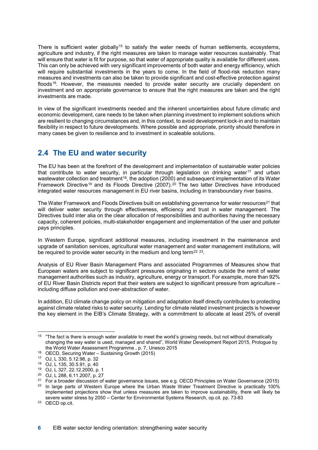There is sufficient water globally<sup>[15](#page-7-1)</sup> to satisfy the water needs of human settlements, ecosystems, agriculture and industry, if the right measures are taken to manage water resources sustainably. That will ensure that water is fit for purpose, so that water of appropriate quality is available for different uses. This can only be achieved with very significant improvements of both water and energy efficiency, which will require substantial investments in the years to come. In the field of flood-risk reduction many measures and investments can also be taken to provide significant and cost-effective protection against floods[16](#page-7-2). However, the measures needed to provide water security are crucially dependent on investment and on appropriate governance to ensure that the right measures are taken and the right investments are made.

In view of the significant investments needed and the inherent uncertainties about future climatic and economic development, care needs to be taken when planning investment to implement solutions which are resilient to changing circumstances and, in this context, to avoid development lock-in and to maintain flexibility in respect to future developments. Where possible and appropriate, priority should therefore in many cases be given to resilience and to investment in scaleable solutions.

## <span id="page-7-0"></span>**2.4 The EU and water security**

The EU has been at the forefront of the development and implementation of sustainable water policies that contribute to water security, in particular through legislation on drinking water[17](#page-7-3) and urban wastewater collection and treatment<sup>[18](#page-7-4)</sup>, the adoption (2000) and subsequent implementation of its Water Framework Directive<sup>[19](#page-7-5)</sup> and its Floods Directive ([20](#page-7-6)07).<sup>20</sup> The two latter Directives have introduced integrated water resources management in EU river basins, including in transboundary river basins.

The Water Framework and Floods Directives built on establishing governance for water resources<sup>[21](#page-7-7)</sup> that will deliver water security through effectiveness, efficiency and trust in water management. The Directives build inter alia on the clear allocation of responsibilities and authorities having the necessary capacity, coherent policies, multi-stakeholder engagement and implementation of the user and polluter pays principles.

In Western Europe, significant additional measures, including investment in the maintenance and upgrade of sanitation services, agricultural water management and water management institutions, will be required to provide water security in the medium and long term<sup>[22](#page-7-8) [23](#page-7-9)</sup>.

Analysis of EU River Basin Management Plans and associated Programmes of Measures show that European waters are subject to significant pressures originating in sectors outside the remit of water management authorities such as industry, agriculture, energy or transport. For example, more than 92% of EU River Basin Districts report that their waters are subject to significant pressure from agriculture – including diffuse pollution and over-abstraction of water.

In addition, EU climate change policy on mitigation and adaptation itself directly contributes to protecting against climate related risks to water security. Lending for climate related investment projects is however the key element in the EIB's Climate Strategy, with a commitment to allocate at least 25% of overall

<span id="page-7-1"></span><sup>&</sup>lt;sup>15</sup> "The fact is there is enough water available to meet the world's growing needs, but not without dramatically changing the way water is used, managed and shared", World Water Development Report 2015, Prologue by the World Water Assessment Programme , p. 7, Unesco 2015

<span id="page-7-2"></span><sup>16</sup> OECD, Securing Water – Sustaining Growth (2015)

<span id="page-7-3"></span><sup>17</sup> OJ, L 330, 5.12.98, p. 32

<span id="page-7-4"></span><sup>18</sup> OJ, L 135, 30.5.91, p. 40

<sup>19</sup> OJ, L 327, 22.12.2000, p. 1

<span id="page-7-6"></span><span id="page-7-5"></span><sup>20</sup> OJ, L 288, 6.11.2007, p. 27

<span id="page-7-8"></span><span id="page-7-7"></span><sup>&</sup>lt;sup>21</sup> For a broader discussion of water governance issues, see e.g. OECD Principles on Water Governance (2015) <sup>22</sup> In large parts of Western Europe where the Urban Waste Water Treatment Directive is practically 100% implemented projections show that unless measures are taken to improve sustainability, there will likely be

severe water stress by 2050 – Center for Environmental Systems Research, op.cit. pp. 73-83

<span id="page-7-9"></span><sup>23</sup> OECD op.cit.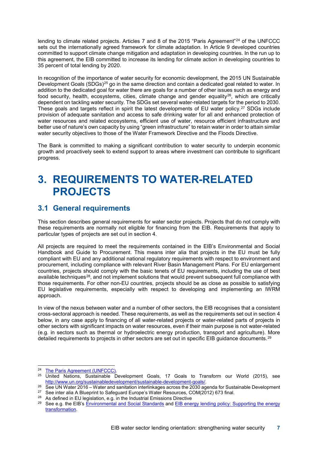lending to climate related projects. Articles 7 and 8 of the 2015 "Paris Agreement"<sup>[24](#page-8-2)</sup> of the UNFCCC sets out the internationally agreed framework for climate adaptation. In Article 9 developed countries committed to support climate change mitigation and adaptation in developing countries. In the run up to this agreement, the EIB committed to increase its lending for climate action in developing countries to 35 percent of total lending by 2020.

In recognition of the importance of water security for economic development, the 2015 UN Sustainable Development Goals (SDGs)<sup>[25](#page-8-3)</sup> go in the same direction and contain a dedicated goal related to water. In addition to the dedicated goal for water there are goals for a number of other issues such as energy and food security, health, ecosystems, cities, climate change and gender equality<sup>26</sup>, which are critically dependent on tackling water security. The SDGs set several water-related targets for the period to 2030. These goals and targets reflect in spirit the latest developments of EU water policy.<sup>[27](#page-8-5)</sup> SDGs include provision of adequate sanitation and access to safe drinking water for all and enhanced protection of water resources and related ecosystems, efficient use of water, resource efficient infrastructure and better use of nature's own capacity by using "green infrastructure" to retain water in order to attain similar water security objectives to those of the Water Framework Directive and the Floods Directive.

The Bank is committed to making a significant contribution to water security to underpin economic growth and proactively seek to extend support to areas where investment can contribute to significant progress.

## <span id="page-8-0"></span>**3. REQUIREMENTS TO WATER-RELATED PROJECTS**

## <span id="page-8-1"></span>**3.1 General requirements**

This section describes general requirements for water sector projects. Projects that do not comply with these requirements are normally not eligible for financing from the EIB. Requirements that apply to particular types of projects are set out in section 4.

All projects are required to meet the requirements contained in the EIB's Environmental and Social Handbook and Guide to Procurement. This means inter alia that projects in the EU must be fully compliant with EU and any additional national regulatory requirements with respect to environment and procurement, including compliance with relevant River Basin Management Plans. For EU enlargement countries, projects should comply with the basic tenets of EU requirements, including the use of best available techniques<sup>28</sup>, and not implement solutions that would prevent subsequent full compliance with those requirements. For other non-EU countries, projects should be as close as possible to satisfying EU legislative requirements, especially with respect to developing and implementing an IWRM approach.

In view of the nexus between water and a number of other sectors, the EIB recognises that a consistent cross-sectoral approach is needed. These requirements, as well as the requirements set out in section 4 below, in any case apply to financing of all water-related projects or water-related parts of projects in other sectors with significant impacts on water resources, even if their main purpose is not water-related (e.g. in sectors such as thermal or hydroelectric energy production, transport and agriculture). More detailed requirements to projects in other sectors are set out in specific EIB guidance documents.<sup>[29](#page-8-7)</sup>

<span id="page-8-2"></span> <sup>24</sup> [The Paris Agreement \(UNFCCC\)](https://unfccc.int/process-and-meetings/the-paris-agreement/the-paris-agreement).

<span id="page-8-3"></span><sup>&</sup>lt;sup>25</sup> United Nations, Sustainable Development Goals, 17 Goals to Transform our World (2015), see [http://www.un.org/sustainabledevelopment/sustainable-development-goals/.](http://www.un.org/sustainabledevelopment/sustainable-development-goals/)

<span id="page-8-4"></span><sup>&</sup>lt;sup>26</sup> See UN Water 2016 – Water and sanitation interlinkages across the 2030 agenda for Sustainable Development

<span id="page-8-5"></span><sup>&</sup>lt;sup>27</sup> See inter alia A Blueprint to Safeguard Europe's Water Resources, COM(2012) 673 final.

<span id="page-8-6"></span><sup>&</sup>lt;sup>28</sup> As defined in EU legislation, e.g. in the Industrial Emissions Directive

<span id="page-8-7"></span><sup>&</sup>lt;sup>29</sup> See e.g. the EIB's [Environmental and Social Standards](https://www.eib.org/en/publications/environmental-and-social-standards) and EIB energy lending policy: Supporting the energy [transformation.](https://www.eib.org/en/publications/eib-energy-lending-policy)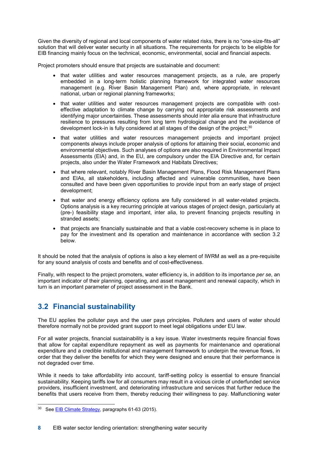Given the diversity of regional and local components of water related risks, there is no "one-size-fits-all" solution that will deliver water security in all situations. The requirements for projects to be eligible for EIB financing mainly focus on the technical, economic, environmental, social and financial aspects.

Project promoters should ensure that projects are sustainable and document:

- that water utilities and water resources management projects, as a rule, are properly embedded in a long-term holistic planning framework for integrated water resources management (e.g. River Basin Management Plan) and, where appropriate, in relevant national, urban or regional planning frameworks;
- that water utilities and water resources management projects are compatible with costeffective adaptation to climate change by carrying out appropriate risk assessments and identifying major uncertainties. These assessments should inter alia ensure that infrastructure resilience to pressures resulting from long term hydrological change and the avoidance of development lock-in is fully considered at all stages of the design of the project:<sup>[30](#page-9-1)</sup>
- that water utilities and water resources management projects and important project components always include proper analysis of options for attaining their social, economic and environmental objectives. Such analyses of options are also required in Environmental Impact Assessments (EIA) and, in the EU, are compulsory under the EIA Directive and, for certain projects, also under the Water Framework and Habitats Directives;
- that where relevant, notably River Basin Management Plans, Flood Risk Management Plans and EIAs, all stakeholders, including affected and vulnerable communities, have been consulted and have been given opportunities to provide input from an early stage of project development;
- that water and energy efficiency options are fully considered in all water-related projects. Options analysis is a key recurring principle at various stages of project design, particularly at (pre-) feasibility stage and important, inter alia, to prevent financing projects resulting in stranded assets;
- that projects are financially sustainable and that a viable cost-recovery scheme is in place to pay for the investment and its operation and maintenance in accordance with section 3.2 below.

It should be noted that the analysis of options is also a key element of IWRM as well as a pre-requisite for any sound analysis of costs and benefits and of cost-effectiveness.

Finally, with respect to the project promoters, water efficiency is, in addition to its importance *per se*, an important indicator of their planning, operating, and asset management and renewal capacity, which in turn is an important parameter of project assessment in the Bank.

## <span id="page-9-0"></span>**3.2 Financial sustainability**

The EU applies the polluter pays and the user pays principles. Polluters and users of water should therefore normally not be provided grant support to meet legal obligations under EU law.

For all water projects, financial sustainability is a key issue. Water investments require financial flows that allow for capital expenditure repayment as well as payments for maintenance and operational expenditure and a credible institutional and management framework to underpin the revenue flows, in order that they deliver the benefits for which they were designed and ensure that their performance is not degraded over time.

While it needs to take affordability into account, tariff-setting policy is essential to ensure financial sustainability. Keeping tariffs low for all consumers may result in a vicious circle of underfunded service providers, insufficient investment, and deteriorating infrastructure and services that further reduce the benefits that users receive from them, thereby reducing their willingness to pay. Malfunctioning water

<span id="page-9-1"></span><sup>&</sup>lt;sup>30</sup> See **EIB Climate Strategy**, paragraphs 61-63 (2015).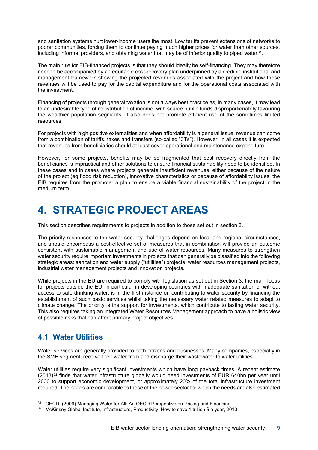and sanitation systems hurt lower-income users the most. Low tariffs prevent extensions of networks to poorer communities, forcing them to continue paying much higher prices for water from other sources, including informal providers, and obtaining water that may be of inferior quality to piped water[31.](#page-10-2)

The main rule for EIB-financed projects is that they should ideally be self-financing. They may therefore need to be accompanied by an equitable cost-recovery plan underpinned by a credible institutional and management framework showing the projected revenues associated with the project and how these revenues will be used to pay for the capital expenditure and for the operational costs associated with the investment.

Financing of projects through general taxation is not always best practice as, in many cases, it may lead to an undesirable type of redistribution of income, with scarce public funds disproportionately favouring the wealthier population segments. It also does not promote efficient use of the sometimes limited resources.

For projects with high positive externalities and when affordability is a general issue, revenue can come from a combination of tariffs, taxes and transfers (so-called "3Ts"). However, in all cases it is expected that revenues from beneficiaries should at least cover operational and maintenance expenditure.

However, for some projects, benefits may be so fragmented that cost recovery directly from the beneficiaries is impractical and other solutions to ensure financial sustainability need to be identified. In these cases and in cases where projects generate insufficient revenues, either because of the nature of the project (eg flood risk reduction), innovative characteristics or because of affordability issues, the EIB requires from the promoter a plan to ensure a viable financial sustainability of the project in the medium term.

## <span id="page-10-0"></span>**4. STRATEGIC PROJECT AREAS**

This section describes requirements to projects in addition to those set out in section 3.

The priority responses to the water security challenges depend on local and regional circumstances, and should encompass a cost-effective set of measures that in combination will provide an outcome consistent with sustainable management and use of water resources. Many measures to strengthen water security require important investments in projects that can generally be classified into the following strategic areas: sanitation and water supply ("utilities") projects, water resources management projects, industrial water management projects and innovation projects.

While projects in the EU are required to comply with legislation as set out in Section 3, the main focus for projects outside the EU, in particular in developing countries with inadequate sanitation or without access to safe drinking water, is in the first instance on contributing to water security by financing the establishment of such basic services whilst taking the necessary water related measures to adapt to climate change. The priority is the support for investments, which contribute to lasting water security. This also requires taking an Integrated Water Resources Management approach to have a holistic view of possible risks that can affect primary project objectives.

## <span id="page-10-1"></span>**4.1 Water Utilities**

Water services are generally provided to both citizens and businesses. Many companies, especially in the SME segment, receive their water from and discharge their wastewater to water utilities.

Water utilities require very significant investments which have long payback times. A recent estimate (2013)[32](#page-10-3) finds that water infrastructure globally would need investments of EUR 640bn per year until 2030 to support economic development, or approximately 20% of the total infrastructure investment required. The needs are comparable to those of the power sector for which the needs are also estimated

<span id="page-10-2"></span> <sup>31</sup> OECD, (2009) Managing Water for All: An OECD Perspective on Pricing and Financing.

<span id="page-10-3"></span><sup>&</sup>lt;sup>32</sup> McKinsey Global Institute, Infrastructure, Productivity, How to save 1 trillion \$ a year, 2013.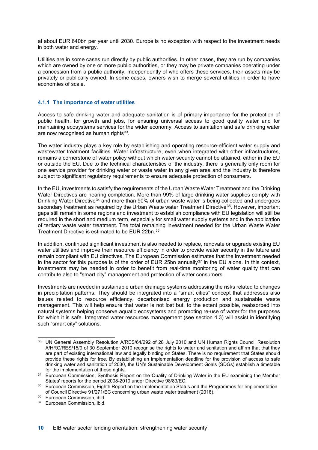at about EUR 640bn per year until 2030. Europe is no exception with respect to the investment needs in both water and energy.

Utilities are in some cases run directly by public authorities. In other cases, they are run by companies which are owned by one or more public authorities, or they may be private companies operating under a concession from a public authority. Independently of who offers these services, their assets may be privately or publically owned. In some cases, owners wish to merge several utilities in order to have economies of scale.

#### <span id="page-11-0"></span>**4.1.1 The importance of water utilities**

Access to safe drinking water and adequate sanitation is of primary importance for the protection of public health, for growth and jobs, for ensuring universal access to good quality water and for maintaining ecosystems services for the wider economy. Access to sanitation and safe drinking water are now recognised as human rights<sup>33</sup>.

The water industry plays a key role by establishing and operating resource-efficient water supply and wastewater treatment facilities. Water infrastructure, even when integrated with other infrastructures, remains a cornerstone of water policy without which water security cannot be attained, either in the EU or outside the EU. Due to the technical characteristics of the industry, there is generally only room for one service provider for drinking water or waste water in any given area and the industry is therefore subject to significant regulatory requirements to ensure adequate protection of consumers.

In the EU, investments to satisfy the requirements of the Urban Waste Water Treatment and the Drinking Water Directives are nearing completion. More than 99% of large drinking water supplies comply with Drinking Water Directive[34](#page-11-2) and more than 90% of urban waste water is being collected and undergoes secondary treatment as required by the Urban Waste water Treatment Directive<sup>[35](#page-11-3)</sup>. However, important gaps still remain in some regions and investment to establish compliance with EU legislation will still be required in the short and medium term, especially for small water supply systems and in the application of tertiary waste water treatment. The total remaining investment needed for the Urban Waste Water Treatment Directive is estimated to be EUR 22bn.[36](#page-11-4)

In addition, continued significant investment is also needed to replace, renovate or upgrade existing EU water utilities and improve their resource efficiency in order to provide water security in the future and remain compliant with EU directives. The European Commission estimates that the investment needed in the sector for this purpose is of the order of EUR 25bn annually<sup>[37](#page-11-5)</sup> in the EU alone. In this context, investments may be needed in order to benefit from real-time monitoring of water quality that can contribute also to "smart city" management and protection of water consumers.

Investments are needed in sustainable urban drainage systems addressing the risks related to changes in precipitation patterns. They should be integrated into a "smart cities" concept that addresses also issues related to resource efficiency, decarbonised energy production and sustainable waste management. This will help ensure that water is not lost but, to the extent possible, reabsorbed into natural systems helping conserve aquatic ecosystems and promoting re-use of water for the purposes for which it is safe. Integrated water resources management (see section 4.3) will assist in identifying such "smart city" solutions.

<span id="page-11-1"></span><sup>&</sup>lt;sup>33</sup> UN General Assembly Resolution A/RES/64/292 of 28 July 2010 and UN Human Rights Council Resolution A/HRC/RES/15/9 of 30 September 2010 recognise the rights to water and sanitation and affirm that that they are part of existing international law and legally binding on States. There is no requirement that States should provide these rights for free. By establishing an implementation deadline for the provision of access to safe drinking water and sanitation of 2030, the UN's Sustainable Development Goals (SDGs) establish a timetable for the implementation of these rights.

<span id="page-11-2"></span><sup>&</sup>lt;sup>34</sup> European Commission, Synthesis Report on the Quality of Drinking Water in the EU examining the Member States' reports for the period 2008-2010 under Directive 98/83/EC.

<span id="page-11-3"></span><sup>&</sup>lt;sup>35</sup> European Commission, Eighth Report on the Implementation Status and the Programmes for Implementation of Council Directive 91/271/EC concerning urban waste water treatment (2016).

<span id="page-11-4"></span><sup>36</sup> European Commission, ibid.

<span id="page-11-5"></span><sup>37</sup> European Commission, ibid.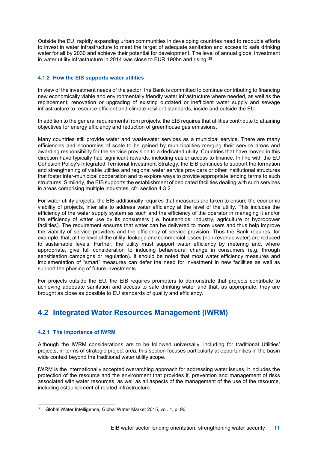Outside the EU, rapidly expanding urban communities in developing countries need to redouble efforts to invest in water infrastructure to meet the target of adequate sanitation and access to safe drinking water for all by 2030 and achieve their potential for development. The level of annual global investment in water utility infrastructure in 2014 was close to EUR 190bn and rising.<sup>[38](#page-12-3)</sup>

### <span id="page-12-0"></span>**4.1.2 How the EIB supports water utilities**

In view of the investment needs of the sector, the Bank is committed to continue contributing to financing new economically viable and environmentally friendly water infrastructure where needed, as well as the replacement, renovation or upgrading of existing outdated or inefficient water supply and sewage infrastructure to resource efficient and climate-resilient standards, inside and outside the EU.

In addition to the general requirements from projects, the EIB requires that utilities contribute to attaining objectives for energy efficiency and reduction of greenhouse gas emissions.

Many countries still provide water and wastewater services as a municipal service. There are many efficiencies and economies of scale to be gained by municipalities merging their service areas and awarding responsibility for the service provision to a dedicated utility. Countries that have moved in this direction have typically had significant rewards, including easier access to finance. In line with the EU Cohesion Policy's Integrated Territorial Investment Strategy, the EIB continues to support the formation and strengthening of viable utilities and regional water service providers or other institutional structures that foster inter-municipal cooperation and to explore ways to provide appropriate lending terms to such structures. Similarly, the EIB supports the establishment of dedicated facilities dealing with such services in areas comprising multiple industries, cfr. section 4.3.2.

For water utility projects, the EIB additionally requires that measures are taken to ensure the economic viability of projects, inter alia to address water efficiency at the level of the utility. This includes the efficiency of the water supply system as such and the efficiency of the operator in managing it and/or the efficiency of water use by its consumers (i.e. households, industry, agriculture or hydropower facilities). The requirement ensures that water can be delivered to more users and thus help improve the viability of service providers and the efficiency of service provision. Thus the Bank requires, for example, that, at the level of the utility, leakage and commercial losses (non-revenue water) are reduced to sustainable levels. Further, the utility must support water efficiency by metering and, where appropriate, give full consideration to inducing behavioural change in consumers (e.g. through sensitisation campaigns or regulation). It should be noted that most water efficiency measures and implementation of "smart" measures can defer the need for investment in new facilities as well as support the phasing of future investments.

For projects outside the EU, the EIB requires promoters to demonstrate that projects contribute to achieving adequate sanitation and access to safe drinking water and that, as appropriate, they are brought as close as possible to EU standards of quality and efficiency.

## <span id="page-12-1"></span>**4.2 Integrated Water Resources Management (IWRM)**

### <span id="page-12-2"></span>**4.2.1 The importance of IWRM**

Although the IWRM considerations are to be followed universally, including for traditional Utilities' projects, in terms of strategic project area, this section focuses particularly at opportunities in the basin wide context beyond the traditional water utility scope.

IWRM is the internationally accepted overarching approach for addressing water issues, It includes the protection of the resource and the environment that provides it, prevention and management of risks associated with water resources, as well as all aspects of the management of the use of the resource, including establishment of related infrastructure.

<span id="page-12-3"></span> <sup>38</sup> Global Water Intelligence, Global Water Market 2015, vol. 1, p. 90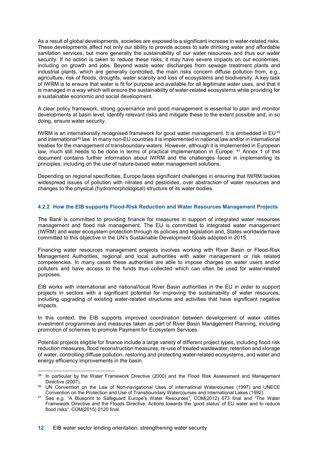As a result of global developments, societies are exposed to a significant increase in water-related risks. These developments affect not only our ability to provide access to safe drinking water and affordable sanitation services, but more generally the sustainability of our water resources and thus our water security. If no action is taken to reduce these risks, it may have severe impacts on our economies, including on growth and jobs. Beyond waste water discharges from sewage treatment plants and industrial plants, which are generally controlled, the main risks concern diffuse pollution from, e.g., agriculture, risk of floods, droughts, water scarcity and loss of ecosystems and biodiversity. A key task of IWRM is to ensure that water is fit for purpose and available for all legitimate water uses, and that it is managed in a way which will ensure the sustainability of water-related ecosystems while providing for a sustainable economic and social development.

A clear policy framework, strong governance and good management is essential to plan and monitor developments at basin level, identify relevant risks and mitigate these to the extent possible and, in so doing, ensure water security.

IWRM is an internationally recognised framework for good water management. It is embedded in EU[39](#page-13-1) and international<sup>[40](#page-13-2)</sup> law. In many non-EU countries it is implemented in national law and/or in international treaties for the management of transboundary waters. However, although it is implemented in European law, much still needs to be done in terms of practical implementation in Europe. [41](#page-13-3) Annex 1 of this document contains further information about IWRM and the challenges faced in implementing its principles, including on the use of nature-based water management solutions.

Depending on regional specificities, Europe faces significant challenges in ensuring that IWRM tackles widespread issues of pollution with nitrates and pesticides, over abstraction of water resources and changes to the physical (hydromorphological) structure of its water bodies.

#### <span id="page-13-0"></span>**4.2.2 How the EIB supports Flood-Risk Reduction and Water Resources Management Projects**

The Bank is committed to providing finance for measures in support of integrated water resources management and flood risk management. The EU is committed to integrated water management (IWRM) and water ecosystem protection through its policies and legislation and, States worldwide have committed to this objective in the UN's Sustainable Development Goals adopted in 2015.

Financing water resources management projects involves working with River Basin or Flood-Risk Management Authorities, regional and local authorities with water management or risk related competencies. In many cases these authorities are able to impose charges on water users and/or polluters and have access to the funds thus collected which can often be used for water-related purposes.

EIB works with international and national/local River Basin authorities in the EU in order to support projects in sectors with a significant potential for improving the sustainability of water resources, including upgrading of existing water-related structures and activities that have significant negative impacts.

In this context, the EIB supports improved coordination between development of water utilities investment programmes and measures taken as part of River Basin Management Planning, including promotion of schemes to promote Payment for Ecosystem Services.

Potential projects eligible for finance include a large variety of different project types, including flood risk reduction measures, flood reconstruction measures, re-use of treated wastewater, retention and storage of water, controlling diffuse pollution, restoring and protecting water-related ecosystems, and water and energy efficiency improvements in the basin.

<span id="page-13-1"></span><sup>39</sup> In particular by the Water Framework Directive (2000) and the Flood Risk Assessment and Management Directive (2007).

<span id="page-13-2"></span><sup>40</sup> UN Convention on the Law of Non-navigational Uses of International Watercourses (1997) and UNECE Convention on the Protection and Use of Transboundary Watercourses and International Lakes (1992).

<span id="page-13-3"></span><sup>41</sup> See e.g. "A Blueprint to Safeguard Europe's Water Resources", COM(2012) 673 final and "The Water Framework Directive and the Floods Directive: Actions towards the 'good status' of EU water and to reduce flood risks", COM(2015) 0120 final.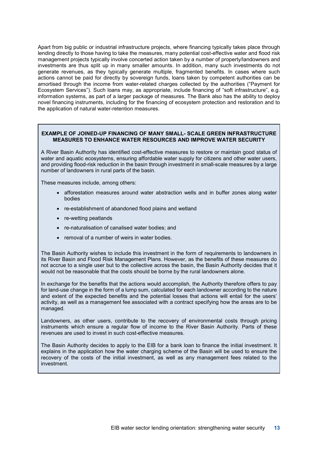Apart from big public or industrial infrastructure projects, where financing typically takes place through lending directly to those having to take the measures, many potential cost-effective water and flood risk management projects typically involve concerted action taken by a number of property/landowners and investments are thus split up in many smaller amounts. In addition, many such investments do not generate revenues, as they typically generate multiple, fragmented benefits. In cases where such actions cannot be paid for directly by sovereign funds, loans taken by competent authorities can be amortised through the income from water-related charges collected by the authorities ("Payment for Ecosystem Services"). Such loans may, as appropriate, include financing of "soft infrastructure", e.g. information systems, as part of a larger package of measures. The Bank also has the ability to deploy novel financing instruments, including for the financing of ecosystem protection and restoration and to the application of natural water-retention measures.

#### **EXAMPLE OF JOINED-UP FINANCING OF MANY SMALL- SCALE GREEN INFRASTRUCTURE MEASURES TO ENHANCE WATER RESOURCES AND IMPROVE WATER SECURITY**

A River Basin Authority has identified cost-effective measures to restore or maintain good status of water and aquatic ecosystems, ensuring affordable water supply for citizens and other water users, and providing flood-risk reduction in the basin through investment in small-scale measures by a large number of landowners in rural parts of the basin.

These measures include, among others:

- afforestation measures around water abstraction wells and in buffer zones along water bodies
- re-establishment of abandoned flood plains and wetland
- re-wetting peatlands
- re-naturalisation of canalised water bodies; and
- removal of a number of weirs in water bodies.

The Basin Authority wishes to include this investment in the form of requirements to landowners in its River Basin and Flood Risk Management Plans. However, as the benefits of these measures do not accrue to a single user but to the collective across the basin, the Basin Authority decides that it would not be reasonable that the costs should be borne by the rural landowners alone.

In exchange for the benefits that the actions would accomplish, the Authority therefore offers to pay for land-use change in the form of a lump sum, calculated for each landowner according to the nature and extent of the expected benefits and the potential losses that actions will entail for the users' activity, as well as a management fee associated with a contract specifying how the areas are to be managed.

Landowners, as other users, contribute to the recovery of environmental costs through pricing instruments which ensure a regular flow of income to the River Basin Authority. Parts of these revenues are used to invest in such cost-effective measures.

The Basin Authority decides to apply to the EIB for a bank loan to finance the initial investment. It explains in the application how the water charging scheme of the Basin will be used to ensure the recovery of the costs of the initial investment, as well as any management fees related to the investment.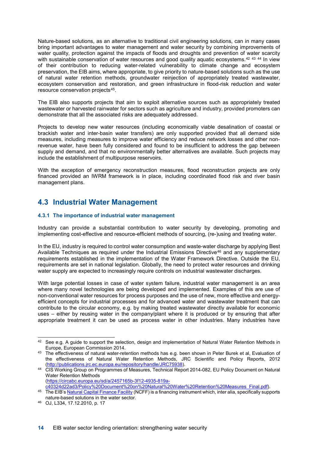Nature-based solutions, as an alternative to traditional civil engineering solutions, can in many cases bring important advantages to water management and water security by combining improvements of water quality, protection against the impacts of floods and droughts and prevention of water scarcity with sustainable conservation of water resources and good quality aquatic ecosystems.<sup>[42](#page-15-2) [43](#page-15-3)</sup> <sup>[44](#page-15-4)</sup> In view of their contribution to reducing water-related vulnerability to climate change and ecosystem preservation, the EIB aims, where appropriate, to give priority to nature-based solutions such as the use of natural water retention methods, groundwater reinjection of appropriately treated wastewater, ecosystem conservation and restoration, and green infrastructure in flood-risk reduction and water resource conservation projects<sup>45</sup>.

The EIB also supports projects that aim to exploit alternative sources such as appropriately treated wastewater or harvested rainwater for sectors such as agriculture and industry, provided promoters can demonstrate that all the associated risks are adequately addressed.

Projects to develop new water resources (including economically viable desalination of coastal or brackish water and inter-basin water transfers) are only supported provided that all demand side measures, including measures to improve water efficiency and reduce network losses and other nonrevenue water, have been fully considered and found to be insufficient to address the gap between supply and demand, and that no environmentally better alternatives are available. Such projects may include the establishment of multipurpose reservoirs.

With the exception of emergency reconstruction measures, flood reconstruction projects are only financed provided an IWRM framework is in place, including coordinated flood risk and river basin management plans.

## <span id="page-15-0"></span>**4.3 Industrial Water Management**

### <span id="page-15-1"></span>**4.3.1 The importance of industrial water management**

Industry can provide a substantial contribution to water security by developing, promoting and implementing cost-effective and resource-efficient methods of sourcing, (re-)using and treating water.

In the EU, industry is required to control water consumption and waste-water discharge by applying Best Available Techniques as required under the Industrial Emissions Directive<sup>[46](#page-15-6)</sup> and any supplementary requirements established in the implementation of the Water Framework Directive. Outside the EU, requirements are set in national legislation. Globally, the need to protect water resources and drinking water supply are expected to increasingly require controls on industrial wastewater discharges.

With large potential losses in case of water system failure, industrial water management is an area where many novel technologies are being developed and implemented. Examples of this are use of non-conventional water resources for process purposes and the use of new, more effective and energyefficient concepts for industrial processes and for advanced water and wastewater treatment that can contribute to the circular economy, e.g. by making treated wastewater directly available for economic uses – either by reusing water in the company/plant where it is produced or by ensuring that after appropriate treatment it can be used as process water in other industries. Many industries have

[c40324d22ad3/Policy%20Document%20on%20Natural%20Water%20Retention%20Measures\\_Final.pdf\)](https://circabc.europa.eu/sd/a/2457165b-3f12-4935-819a-c40324d22ad3/Policy%20Document%20on%20Natural%20Water%20Retention%20Measures_Final.pdf).

<span id="page-15-2"></span><sup>42</sup> See e.g. A guide to support the selection, design and implementation of Natural Water Retention Methods in Europe, European Commission 2014.

<span id="page-15-3"></span><sup>43</sup> The effectiveness of natural water-retention methods has e.g. been shown in Peter Burek et al, Evaluation of the effectiveness of Natural Water Retention Methods, JRC Scientific and Policy Reports, 2012 [\(http://publications.jrc.ec.europa.eu/repository/handle/JRC75938\)](http://publications.jrc.ec.europa.eu/repository/handle/JRC75938).

<span id="page-15-4"></span><sup>44</sup> CIS Working Group on Programmes of Measures, Technical Report 2014-082, EU Policy Document on Natural Water Retention Methods [\(https://circabc.europa.eu/sd/a/2457165b-3f12-4935-819a-](https://circabc.europa.eu/sd/a/2457165b-3f12-4935-819a-c40324d22ad3/Policy%20Document%20on%20Natural%20Water%20Retention%20Measures_Final.pdf)

<span id="page-15-5"></span><sup>&</sup>lt;sup>45</sup> The EIB'[s Natural Capital Finance Facility](http://www.eib.org/en/products/mandates-partnerships/ncff/index.htm) (NCFF) is a financing instrument which, inter alia, specifically supports nature-based solutions in the water sector.

<span id="page-15-6"></span><sup>46</sup> OJ, L334, 17.12.2010, p. 17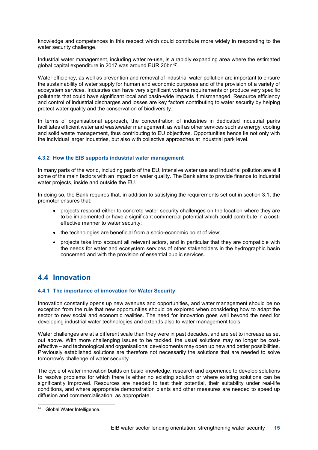knowledge and competences in this respect which could contribute more widely in responding to the water security challenge.

Industrial water management, including water re-use, is a rapidly expanding area where the estimated global capital expenditure in 2017 was around EUR 20bn<sup>[47](#page-16-3)</sup>.

Water efficiency, as well as prevention and removal of industrial water pollution are important to ensure the sustainability of water supply for human and economic purposes and of the provision of a variety of ecosystem services. Industries can have very significant volume requirements or produce very specific pollutants that could have significant local and basin-wide impacts if mismanaged. Resource efficiency and control of industrial discharges and losses are key factors contributing to water security by helping protect water quality and the conservation of biodiversity.

In terms of organisational approach, the concentration of industries in dedicated industrial parks facilitates efficient water and wastewater management, as well as other services such as energy, cooling and solid waste management, thus contributing to EU objectives. Opportunities hence lie not only with the individual larger industries, but also with collective approaches at industrial park level.

### <span id="page-16-0"></span>**4.3.2 How the EIB supports industrial water management**

In many parts of the world, including parts of the EU, intensive water use and industrial pollution are still some of the main factors with an impact on water quality. The Bank aims to provide finance to industrial water projects, inside and outside the EU.

In doing so, the Bank requires that, in addition to satisfying the requirements set out in section 3.1, the promoter ensures that:

- projects respond either to concrete water security challenges on the location where they are to be implemented or have a significant commercial potential which could contribute in a costeffective manner to water security;
- the technologies are beneficial from a socio-economic point of view;
- projects take into account all relevant actors, and in particular that they are compatible with the needs for water and ecosystem services of other stakeholders in the hydrographic basin concerned and with the provision of essential public services.

## <span id="page-16-1"></span>**4.4 Innovation**

### <span id="page-16-2"></span>**4.4.1 The importance of innovation for Water Security**

Innovation constantly opens up new avenues and opportunities, and water management should be no exception from the rule that new opportunities should be explored when considering how to adapt the sector to new social and economic realities. The need for innovation goes well beyond the need for developing industrial water technologies and extends also to water management tools.

Water challenges are at a different scale than they were in past decades, and are set to increase as set out above. With more challenging issues to be tackled, the usual solutions may no longer be costeffective – and technological and organisational developments may open up new and better possibilities. Previously established solutions are therefore not necessarily the solutions that are needed to solve tomorrow's challenge of water security.

The cycle of water innovation builds on basic knowledge, research and experience to develop solutions to resolve problems for which there is either no existing solution or where existing solutions can be significantly improved. Resources are needed to test their potential, their suitability under real-life conditions, and where appropriate demonstration plants and other measures are needed to speed up diffusion and commercialisation, as appropriate.

<span id="page-16-3"></span> <sup>47</sup> Global Water Intelligence.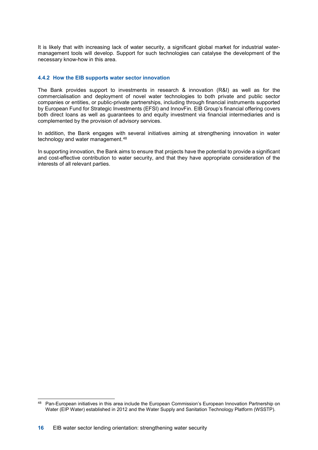It is likely that with increasing lack of water security, a significant global market for industrial watermanagement tools will develop. Support for such technologies can catalyse the development of the necessary know-how in this area.

#### <span id="page-17-0"></span>**4.4.2 How the EIB supports water sector innovation**

The Bank provides support to investments in research & innovation (R&I) as well as for the commercialisation and deployment of novel water technologies to both private and public sector companies or entities, or public-private partnerships, including through financial instruments supported by European Fund for Strategic Investments (EFSI) and InnovFin. EIB Group's financial offering covers both direct loans as well as guarantees to and equity investment via financial intermediaries and is complemented by the provision of advisory services.

In addition, the Bank engages with several initiatives aiming at strengthening innovation in water technology and water management.<sup>[48](#page-17-1)</sup>

In supporting innovation, the Bank aims to ensure that projects have the potential to provide a significant and cost-effective contribution to water security, and that they have appropriate consideration of the interests of all relevant parties.

<span id="page-17-1"></span><sup>48</sup> Pan-European initiatives in this area include the European Commission's European Innovation Partnership on Water (EIP Water) established in 2012 and the Water Supply and Sanitation Technology Platform (WSSTP).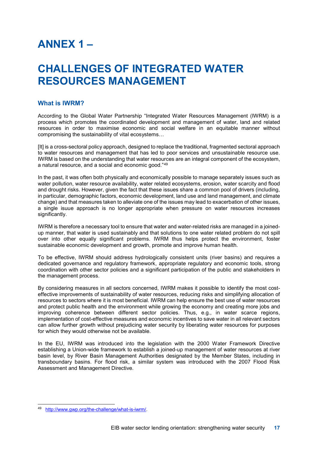## <span id="page-18-0"></span>**ANNEX 1 –**

## **CHALLENGES OF INTEGRATED WATER RESOURCES MANAGEMENT**

### **What is IWRM?**

According to the Global Water Partnership "Integrated Water Resources Management (IWRM) is a process which promotes the coordinated development and management of water, land and related resources in order to maximise economic and social welfare in an equitable manner without compromising the sustainability of vital ecosystems…

[It] is a cross-sectoral policy approach, designed to replace the traditional, fragmented sectoral approach to water resources and management that has led to poor services and unsustainable resource use. IWRM is based on the understanding that water resources are an integral component of the ecosystem, a natural resource, and a social and economic good."[49](#page-18-1)

In the past, it was often both physically and economically possible to manage separately issues such as water pollution, water resource availability, water related ecosystems, erosion, water scarcity and flood and drought risks. However, given the fact that these issues share a common pool of drivers (including, in particular, demographic factors, economic development, land use and land management, and climate change) and that measures taken to alleviate one of the issues may lead to exacerbation of other issues, a single isuue approach is no longer appropriate when pressure on water resources increases significantly.

IWRM is therefore a necessary tool to ensure that water and water-related risks are managed in a joinedup manner, that water is used sustainably and that solutions to one water related problem do not spill over into other equally significant problems. IWRM thus helps protect the environment, foster sustainable economic development and growth, promote and improve human health.

To be effective, IWRM should address hydrologically consistent units (river basins) and requires a dedicated governance and regulatory framework, appropriate regulatory and economic tools, strong coordination with other sector policies and a significant participation of the public and stakeholders in the management process.

By considering measures in all sectors concerned, IWRM makes it possible to identify the most costeffective improvements of sustainability of water resources, reducing risks and simplifying allocation of resources to sectors where it is most beneficial. IWRM can help ensure the best use of water resources and protect public health and the environment while growing the economy and creating more jobs and improving coherence between different sector policies. Thus, e.g., in water scarce regions, implementation of cost-effective measures and economic incentives to save water in all relevant sectors can allow further growth without prejudicing water security by liberating water resources for purposes for which they would otherwise not be available.

In the EU, IWRM was introduced into the legislation with the 2000 Water Framework Directive establishing a Union-wide framework to establish a joined-up management of water resources at river basin level, by River Basin Management Authorities designated by the Member States, including in transboundary basins. For flood risk, a similar system was introduced with the 2007 Flood Risk Assessment and Management Directive.

<span id="page-18-1"></span> <sup>49</sup> [http://www.gwp.org/the-challenge/what-is-iwrm/.](http://www.gwp.org/the-challenge/what-is-iwrm/)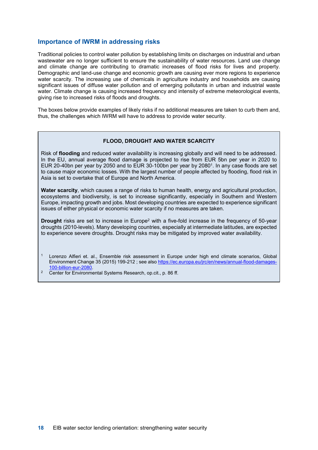### **Importance of IWRM in addressing risks**

Traditional policies to control water pollution by establishing limits on discharges on industrial and urban wastewater are no longer sufficient to ensure the sustainability of water resources. Land use change and climate change are contributing to dramatic increases of flood risks for lives and property. Demographic and land-use change and economic growth are causing ever more regions to experience water scarcity. The increasing use of chemicals in agriculture industry and households are causing significant issues of diffuse water pollution and of emerging pollutants in urban and industrial waste water. Climate change is causing increased frequency and intensity of extreme meteorological events, giving rise to increased risks of floods and droughts.

The boxes below provide examples of likely risks if no additional measures are taken to curb them and, thus, the challenges which IWRM will have to address to provide water security.

#### **FLOOD, DROUGHT AND WATER SCARCITY**

Risk of **flooding** and reduced water availability is increasing globally and will need to be addressed. In the EU, annual average flood damage is projected to rise from EUR 5bn per year in 2020 to EUR 20-40bn per year by 2050 and to EUR 30-100bn per year by 20801. In any case floods are set to cause major economic losses. With the largest number of people affected by flooding, flood risk in Asia is set to overtake that of Europe and North America.

**Water scarcity**, which causes a range of risks to human health, energy and agricultural production, ecosystems and biodiversity, is set to increase significantly, especially in Southern and Western Europe, impacting growth and jobs. Most developing countries are expected to experience significant issues of either physical or economic water scarcity if no measures are taken.

**Drought** risks are set to increase in Europe<sup>2</sup> with a five-fold increase in the frequency of 50-year droughts (2010-levels). Many developing countries, especially at intermediate latitudes, are expected to experience severe droughts. Drought risks may be mitigated by improved water availability.

- <sup>1</sup> Lorenzo Alfieri et. al., Ensemble risk assessment in Europe under high end climate scenarios, Global Environment Change 35 (2015) 199-212 ; see also https://ec.europa.eu/jrc/en/news/annual-flood-damages-100-billion-eur-2080.
- <sup>2</sup> Center for Environmental Systems Research, op.cit., p. 86 ff.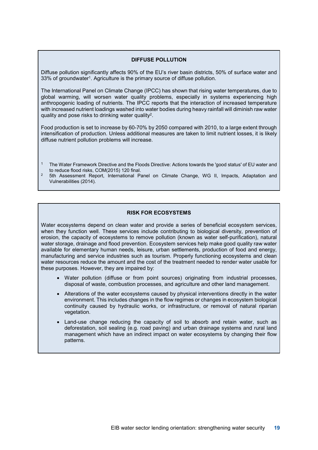#### **DIFFUSE POLLUTION**

Diffuse pollution significantly affects 90% of the EU's river basin districts, 50% of surface water and 33% of groundwater1. Agriculture is the primary source of diffuse pollution.

The International Panel on Climate Change (IPCC) has shown that rising water temperatures, due to global warming, will worsen water quality problems, especially in systems experiencing high anthropogenic loading of nutrients. The IPCC reports that the interaction of increased temperature with increased nutrient loadings washed into water bodies during heavy rainfall will diminish raw water quality and pose risks to drinking water quality2.

Food production is set to increase by 60-70% by 2050 compared with 2010, to a large extent through intensification of production. Unless additional measures are taken to limit nutrient losses, it is likely diffuse nutrient pollution problems will increase.

- <sup>1</sup> The Water Framework Directive and the Floods Directive: Actions towards the 'good status' of EU water and to reduce flood risks, COM(2015) 120 final.
- <sup>2</sup> 5th Assessment Report, International Panel on Climate Change, WG II, Impacts, Adaptation and Vulnerabilities (2014).

#### **RISK FOR ECOSYSTEMS**

Water ecosystems depend on clean water and provide a series of beneficial ecosystem services, when they function well. These services include contributing to biological diversity, prevention of erosion, the capacity of ecosystems to remove pollution (known as water self-purification), natural water storage, drainage and flood prevention. Ecosystem services help make good quality raw water available for elementary human needs, leisure, urban settlements, production of food and energy, manufacturing and service industries such as tourism. Properly functioning ecosystems and clean water resources reduce the amount and the cost of the treatment needed to render water usable for these purposes. However, they are impaired by:

- Water pollution (diffuse or from point sources) originating from industrial processes, disposal of waste, combustion processes, and agriculture and other land management.
- Alterations of the water ecosystems caused by physical interventions directly in the water environment. This includes changes in the flow regimes or changes in ecosystem biological continuity caused by hydraulic works, or infrastructure, or removal of natural riparian vegetation.
- Land-use change reducing the capacity of soil to absorb and retain water, such as deforestation, soil sealing (e.g. road paving) and urban drainage systems and rural land management which have an indirect impact on water ecosystems by changing their flow patterns.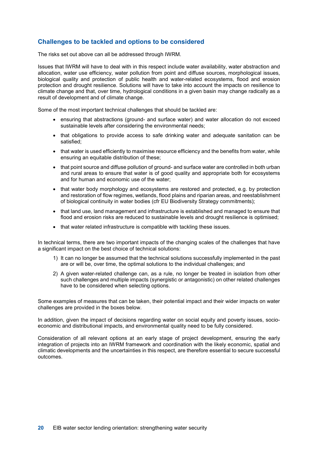### **Challenges to be tackled and options to be considered**

The risks set out above can all be addressed through IWRM.

Issues that IWRM will have to deal with in this respect include water availability, water abstraction and allocation, water use efficiency, water pollution from point and diffuse sources, morphological issues, biological quality and protection of public health and water-related ecosystems, flood and erosion protection and drought resilience. Solutions will have to take into account the impacts on resilience to climate change and that, over time, hydrological conditions in a given basin may change radically as a result of development and of climate change.

Some of the most important technical challenges that should be tackled are:

- ensuring that abstractions (ground- and surface water) and water allocation do not exceed sustainable levels after considering the environmental needs;
- that obligations to provide access to safe drinking water and adequate sanitation can be satisfied;
- that water is used efficiently to maximise resource efficiency and the benefits from water, while ensuring an equitable distribution of these;
- that point source and diffuse pollution of ground- and surface water are controlled in both urban and rural areas to ensure that water is of good quality and appropriate both for ecosystems and for human and economic use of the water;
- that water body morphology and ecosystems are restored and protected, e.g. by protection and restoration of flow regimes, wetlands, flood plains and riparian areas, and reestablishment of biological continuity in water bodies (cfr EU Biodiversity Strategy commitments);
- that land use, land management and infrastructure is established and managed to ensure that flood and erosion risks are reduced to sustainable levels and drought resilience is optimised;
- that water related infrastructure is compatible with tackling these issues.

In technical terms, there are two important impacts of the changing scales of the challenges that have a significant impact on the best choice of technical solutions:

- 1) It can no longer be assumed that the technical solutions successfully implemented in the past are or will be, over time, the optimal solutions to the individual challenges; and
- 2) A given water-related challenge can, as a rule, no longer be treated in isolation from other such challenges and multiple impacts (synergistic or antagonistic) on other related challenges have to be considered when selecting options.

Some examples of measures that can be taken, their potential impact and their wider impacts on water challenges are provided in the boxes below.

In addition, given the impact of decisions regarding water on social equity and poverty issues, socioeconomic and distributional impacts, and environmental quality need to be fully considered.

Consideration of all relevant options at an early stage of project development, ensuring the early integration of projects into an IWRM framework and coordination with the likely economic, spatial and climatic developments and the uncertainties in this respect, are therefore essential to secure successful outcomes.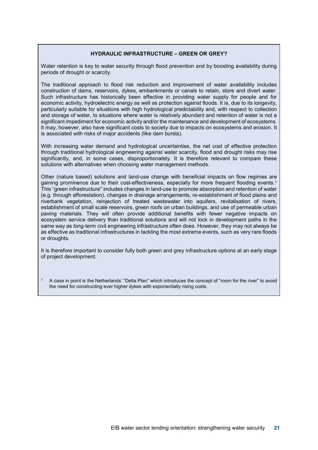#### **HYDRAULIC INFRASTRUCTURE – GREEN OR GREY?**

Water retention is key to water security through flood prevention and by boosting availability during periods of drought or scarcity.

The traditional approach to flood risk reduction and improvement of water availability includes construction of dams, reservoirs, dykes, embankments or canals to retain, store and divert water. Such infrastructure has historically been effective in providing water supply for people and for economic activity, hydroelectric energy as well as protection against floods. It is, due to its longevity, particularly suitable for situations with high hydrological predictability and, with respect to collection and storage of water, to situations where water is relatively abundant and retention of water is not a significant impediment for economic activity and/or the maintenance and development of ecosystems. It may, however, also have significant costs to society due to impacts on ecosystems and erosion. It is associated with risks of major accidents (like dam bursts).

With increasing water demand and hydrological uncertainties, the net cost of effective protection through traditional hydrological engineering against water scarcity, flood and drought risks may rise significantly, and, in some cases, disproportionately. It is therefore relevant to compare these solutions with alternatives when choosing water management methods.

Other (nature based) solutions and land-use change with beneficial impacts on flow regimes are gaining prominence due to their cost-effectiveness, especially for more frequent flooding events.<sup>1</sup> This "green infrastructure" includes changes in land-use to promote absorption and retention of water (e.g. through afforestation), changes in drainage arrangements, re-establishment of flood plains and riverbank vegetation, reinjection of treated wastewater into aquifers, revitalisation of rivers, establishment of small scale reservoirs, green roofs on urban buildings, and use of permeable urban paving materials. They will often provide additional benefits with fewer negative impacts on ecosystem service delivery than traditional solutions and will not lock in development paths in the same way as long-term civil engineering infrastructure often does. However, they may not always be as effective as traditional infrastructures in tackling the most extreme events, such as very rare floods or droughts.

It is therefore important to consider fully both green and grey infrastructure options at an early stage of project development.

<sup>1</sup> A case in point is the Netherlands' "Delta Plan" which introduces the concept of "room for the river" to avoid the need for constructing ever higher dykes with exponentially rising costs.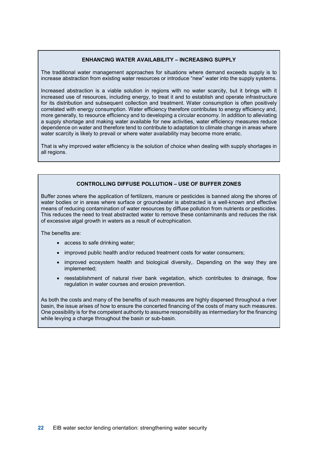#### **ENHANCING WATER AVAILABILITY – INCREASING SUPPLY**

The traditional water management approaches for situations where demand exceeds supply is to increase abstraction from existing water resources or introduce "new" water into the supply systems.

Increased abstraction is a viable solution in regions with no water scarcity, but it brings with it increased use of resources, including energy, to treat it and to establish and operate infrastructure for its distribution and subsequent collection and treatment. Water consumption is often positively correlated with energy consumption. Water efficiency therefore contributes to energy efficiency and, more generally, to resource efficiency and to developing a circular economy. In addition to alleviating a supply shortage and making water available for new activities, water efficiency measures reduce dependence on water and therefore tend to contribute to adaptation to climate change in areas where water scarcity is likely to prevail or where water availability may become more erratic.

That is why improved water efficiency is the solution of choice when dealing with supply shortages in all regions.

### **CONTROLLING DIFFUSE POLLUTION – USE OF BUFFER ZONES**

Buffer zones where the application of fertilizers, manure or pesticides is banned along the shores of water bodies or in areas where surface or groundwater is abstracted is a well-known and effective means of reducing contamination of water resources by diffuse pollution from nutrients or pesticides. This reduces the need to treat abstracted water to remove these contaminants and reduces the risk of excessive algal growth in waters as a result of eutrophication.

The benefits are:

- access to safe drinking water;
- improved public health and/or reduced treatment costs for water consumers;
- improved ecosystem health and biological diversity. Depending on the way they are implemented;
- reestablishment of natural river bank vegetation, which contributes to drainage, flow regulation in water courses and erosion prevention.

As both the costs and many of the benefits of such measures are highly dispersed throughout a river basin, the issue arises of how to ensure the concerted financing of the costs of many such measures. One possibility is for the competent authority to assume responsibility as intermediary for the financing while levying a charge throughout the basin or sub-basin.